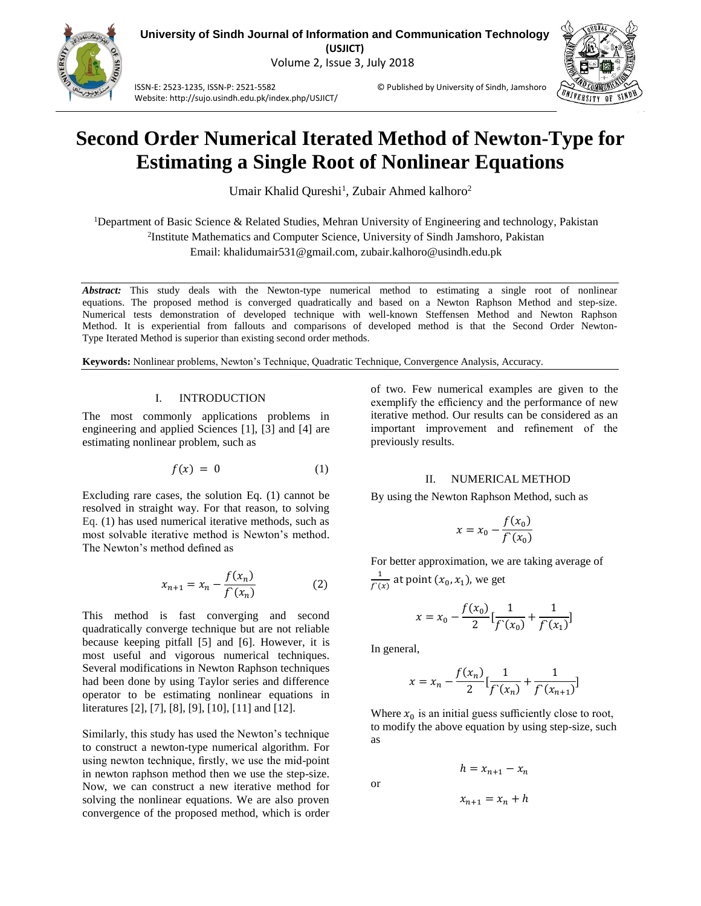

ISSN-E: 2523-1235, ISSN-P: 2521-5582 © Published by University of Sindh, Jamshoro Website: http://sujo.usindh.edu.pk/index.php/USJICT/



# **Second Order Numerical Iterated Method of Newton-Type for Estimating a Single Root of Nonlinear Equations**

Umair Khalid Qureshi<sup>1</sup>, Zubair Ahmed kalhoro<sup>2</sup>

<sup>1</sup>Department of Basic Science & Related Studies, Mehran University of Engineering and technology, Pakistan 2 Institute Mathematics and Computer Science, University of Sindh Jamshoro, Pakistan Email: [khalidumair531@gmail.com,](mailto:khalidumair531@gmail.com) zubair.kalhoro@usindh.edu.pk

*Abstract:* This study deals with the Newton-type numerical method to estimating a single root of nonlinear equations. The proposed method is converged quadratically and based on a Newton Raphson Method and step-size. Numerical tests demonstration of developed technique with well-known Steffensen Method and Newton Raphson Method. It is experiential from fallouts and comparisons of developed method is that the Second Order Newton-Type Iterated Method is superior than existing second order methods.

**Keywords:** Nonlinear problems, Newton's Technique, Quadratic Technique, Convergence Analysis, Accuracy.

### I. INTRODUCTION

The most commonly applications problems in engineering and applied Sciences [1], [3] and [4] are estimating nonlinear problem, such as

$$
f(x) = 0 \tag{1}
$$

Excluding rare cases, the solution Eq. (1) cannot be resolved in straight way. For that reason, to solving Eq. (1) has used numerical iterative methods, such as most solvable iterative method is Newton's method. The Newton's method defined as

$$
x_{n+1} = x_n - \frac{f(x_n)}{f(x_n)}
$$
 (2)

This method is fast converging and second quadratically converge technique but are not reliable because keeping pitfall [5] and [6]. However, it is most useful and vigorous numerical techniques. Several modifications in Newton Raphson techniques had been done by using Taylor series and difference operator to be estimating nonlinear equations in literatures [2], [7], [8], [9], [10], [11] and [12].

Similarly, this study has used the Newton's technique to construct a newton-type numerical algorithm. For using newton technique, firstly, we use the mid-point in newton raphson method then we use the step-size. Now, we can construct a new iterative method for solving the nonlinear equations. We are also proven convergence of the proposed method, which is order of two. Few numerical examples are given to the exemplify the efficiency and the performance of new iterative method. Our results can be considered as an important improvement and refinement of the previously results.

# II. NUMERICAL METHOD

By using the Newton Raphson Method, such as

$$
x = x_0 - \frac{f(x_0)}{f'(x_0)}
$$

For better approximation, we are taking average of 1  $\frac{1}{f(x)}$  at point  $(x_0, x_1)$ , we get

$$
x = x_0 - \frac{f(x_0)}{2} \left[ \frac{1}{f'(x_0)} + \frac{1}{f'(x_1)} \right]
$$

In general,

$$
x = x_n - \frac{f(x_n)}{2} \left[ \frac{1}{f'(x_n)} + \frac{1}{f'(x_{n+1})} \right]
$$

Where  $x_0$  is an initial guess sufficiently close to root, to modify the above equation by using step-size, such as

or

$$
x_{n+1} = x_n + h
$$

 $h = x_{n+1} - x_n$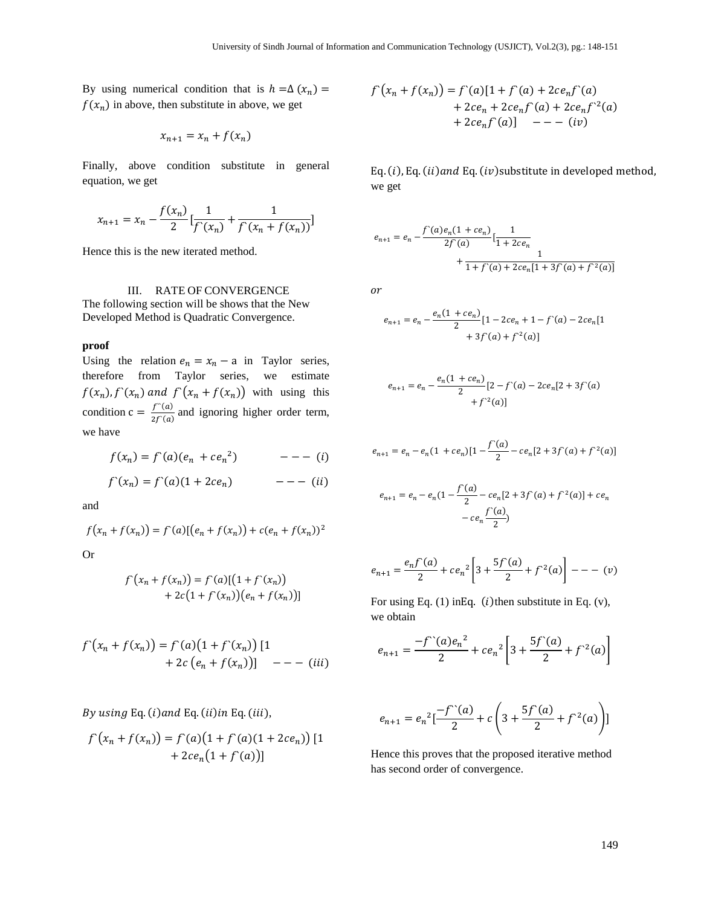By using numerical condition that is  $h = \Delta(x_n) =$  $f(x_n)$  in above, then substitute in above, we get

$$
x_{n+1} = x_n + f(x_n)
$$

Finally, above condition substitute in general equation, we get

$$
x_{n+1} = x_n - \frac{f(x_n)}{2} \left[ \frac{1}{f'(x_n)} + \frac{1}{f'(x_n + f(x_n))} \right]
$$

Hence this is the new iterated method.

III. RATE OF CONVERGENCE The following section will be shows that the New Developed Method is Quadratic Convergence.

### **proof**

Using the relation  $e_n = x_n - a$  in Taylor series, therefore from Taylor series, we estimate  $f(x_n)$ ,  $f'(x_n)$  and  $f'(x_n + f(x_n))$  with using this condition  $c = \frac{f^{(n)}(a)}{2f^{(n)}(a)}$  $\frac{f''(a)}{2f'(a)}$  and ignoring higher order term, we have

$$
f(x_n) = f'(a)(e_n + ce_n^{2}) \qquad \qquad ---(i)
$$

$$
f'(x_n) = f'(a)(1 + 2ce_n) \qquad \qquad -- - (ii)
$$

and

$$
f(x_n + f(x_n)) = f'(a)[(e_n + f(x_n)) + c(e_n + f(x_n))^2]
$$

Or

$$
f'(x_n + f(x_n)) = f'(a)[(1 + f'(x_n)) + 2c(1 + f'(x_n))(e_n + f(x_n))]
$$

$$
f'(x_n + f(x_n)) = f'(a)(1 + f'(x_n)) [1 + 2c (e_n + f(x_n))] \t - - - (iii)
$$

By using Eq.  $(i)$  and Eq.  $(ii)$  in Eq.  $(iii)$ ,

$$
f'(x_n + f(x_n)) = f'(a)(1 + f'(a)(1 + 2ce_n)) [1 + 2ce_n(1 + f'(a))]
$$

$$
f(x_n + f(x_n)) = f'(a)[1 + f'(a) + 2ce_nf'(a)+ 2ce_n + 2ce_nf'(a) + 2ce_nf^2(a)+ 2ce_nf'(a)] - - - (iv)
$$

Eq.  $(i)$ , Eq.  $(ii)$  and Eq.  $(iv)$  substitute in developed method, we get

$$
e_{n+1} = e_n - \frac{f'(a)e_n(1 + ce_n)}{2f'(a)} \left[ \frac{1}{1 + 2ce_n} + \frac{1}{1 + f'(a) + 2ce_n[1 + 3f'(a) + f'(a)]} \right]
$$

 $\overline{or}$ 

$$
e_{n+1} = e_n - \frac{e_n(1 + ce_n)}{2} [1 - 2ce_n + 1 - f'(a) - 2ce_n[1 + 3f'(a) + f^{(2)}(a)]
$$

$$
e_{n+1} = e_n - \frac{e_n(1 + ce_n)}{2} [2 - f'(a) - 2ce_n[2 + 3f'(a) + f''(a)]
$$

$$
e_{n+1} = e_n - e_n(1 + ce_n)[1 - \frac{f'(a)}{2} - ce_n[2 + 3f'(a) + f^{2}(a)]
$$

$$
e_{n+1} = e_n - e_n \left( 1 - \frac{f'(a)}{2} - ce_n \left[ 2 + 3f'(a) + f^{(2)}(a) \right] + ce_n
$$

$$
- ce_n \frac{f'(a)}{2}
$$

$$
e_{n+1} = \frac{e_n f'(a)}{2} + c e_n^2 \left[ 3 + \frac{5f'(a)}{2} + f^{2}(a) \right] - - - (v)
$$

For using Eq.  $(1)$  in Eq.  $(i)$  then substitute in Eq.  $(v)$ , we obtain

$$
e_{n+1} = \frac{-f^{(1)}(a)e_n^2}{2} + ce_n^2 \left[3 + \frac{5f^{(1)}(a)}{2} + f^{(2)}(a)\right]
$$

$$
e_{n+1} = e_n^2 \left[ \frac{-f^{\prime\prime}(a)}{2} + c \left( 3 + \frac{5f^{\prime}(a)}{2} + f^{\prime 2}(a) \right) \right]
$$

Hence this proves that the proposed iterative method has second order of convergence.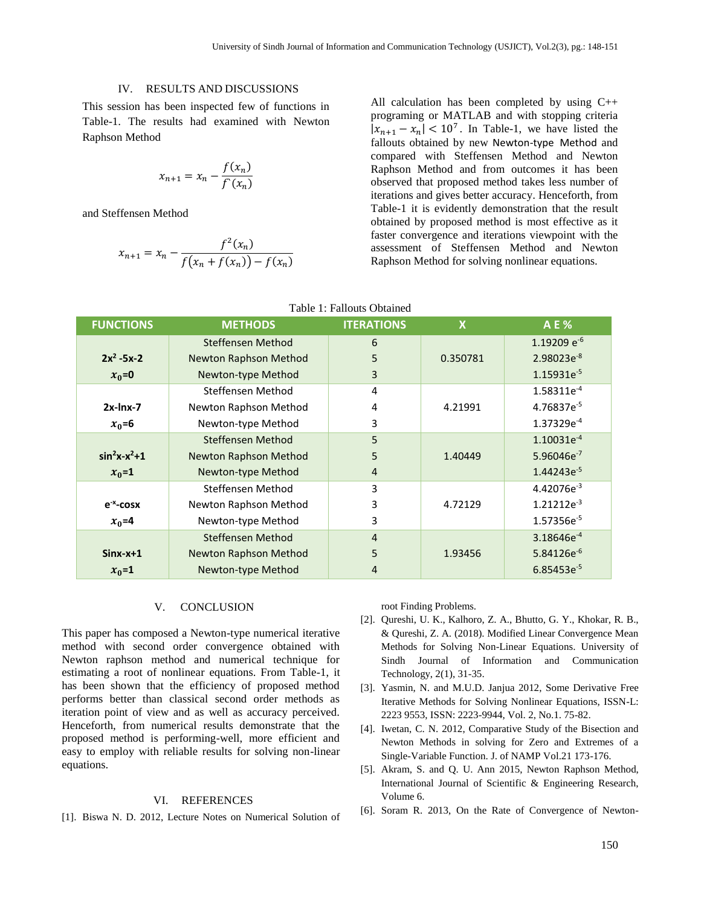# IV. RESULTS AND DISCUSSIONS

This session has been inspected few of functions in Table-1. The results had examined with Newton Raphson Method

$$
x_{n+1} = x_n - \frac{f(x_n)}{f'(x_n)}
$$

and Steffensen Method

$$
x_{n+1} = x_n - \frac{f^2(x_n)}{f(x_n + f(x_n)) - f(x_n)}
$$

All calculation has been completed by using C++ programing or MATLAB and with stopping criteria  $|x_{n+1} - x_n| < 10^7$ . In Table-1, we have listed the fallouts obtained by new Newton-type Method and compared with Steffensen Method and Newton Raphson Method and from outcomes it has been observed that proposed method takes less number of iterations and gives better accuracy. Henceforth, from Table-1 it is evidently demonstration that the result obtained by proposed method is most effective as it faster convergence and iterations viewpoint with the assessment of Steffensen Method and Newton Raphson Method for solving nonlinear equations.

| <b>FUNCTIONS</b> | <b>METHODS</b>               | <b>ITERATIONS</b> | X        | <b>AE%</b>             |
|------------------|------------------------------|-------------------|----------|------------------------|
|                  | Steffensen Method            | 6                 |          | 1.19209 $e^{-6}$       |
| $2x^2 - 5x - 2$  | <b>Newton Raphson Method</b> | 5                 | 0.350781 | $2.98023e^{-8}$        |
| $x_0=0$          | Newton-type Method           | 3                 |          | 1.15931e <sup>-5</sup> |
|                  | Steffensen Method            | 4                 |          | 1.58311e <sup>-4</sup> |
| $2x$ -lnx-7      | Newton Raphson Method        | 4                 | 4.21991  | 4.76837e-5             |
| $x_0 = 6$        | Newton-type Method           | 3                 |          | 1.37329e <sup>-4</sup> |
|                  | Steffensen Method            | 5                 |          | $1.10031e^{-4}$        |
| $sin^2x-x^2+1$   | <b>Newton Raphson Method</b> | 5                 | 1.40449  | 5.96046e <sup>-7</sup> |
| $x_0=1$          | Newton-type Method           | 4                 |          | $1.44243e^{-5}$        |
|                  | Steffensen Method            | 3                 |          | 4.42076e <sup>-3</sup> |
| $e^{-x}$ -cosx   | Newton Raphson Method        | 3                 | 4.72129  | $1.21212e^{-3}$        |
| $x_0$ =4         | Newton-type Method           | 3                 |          | 1.57356e <sup>-5</sup> |
|                  | Steffensen Method            | $\overline{4}$    |          | 3.18646e <sup>-4</sup> |
| $Sinx-x+1$       | <b>Newton Raphson Method</b> | 5                 | 1.93456  | $5.84126e^{-6}$        |
| $x_0 = 1$        | Newton-type Method           | 4                 |          | $6.85453e^{-5}$        |

#### Table 1: Fallouts Obtained

#### V. CONCLUSION

This paper has composed a Newton-type numerical iterative method with second order convergence obtained with Newton raphson method and numerical technique for estimating a root of nonlinear equations. From Table-1, it has been shown that the efficiency of proposed method performs better than classical second order methods as iteration point of view and as well as accuracy perceived. Henceforth, from numerical results demonstrate that the proposed method is performing-well, more efficient and easy to employ with reliable results for solving non-linear equations.

# VI. REFERENCES

[1]. Biswa N. D. 2012, Lecture Notes on Numerical Solution of

root Finding Problems.

- [2]. Qureshi, U. K., Kalhoro, Z. A., Bhutto, G. Y., Khokar, R. B., & Qureshi, Z. A. (2018). Modified Linear Convergence Mean Methods for Solving Non-Linear Equations. University of Sindh Journal of Information and Communication Technology, 2(1), 31-35.
- [3]. Yasmin, N. and M.U.D. Janjua 2012, Some Derivative Free Iterative Methods for Solving Nonlinear Equations, ISSN-L: 2223 9553, ISSN: 2223-9944, Vol. 2, No.1. 75-82.
- [4]. Iwetan, C. N. 2012, Comparative Study of the Bisection and Newton Methods in solving for Zero and Extremes of a Single-Variable Function. J. of NAMP Vol.21 173-176.
- [5]. Akram, S. and Q. U. Ann 2015, Newton Raphson Method, International Journal of Scientific & Engineering Research, Volume 6.
- [6]. Soram R. 2013, On the Rate of Convergence of Newton-